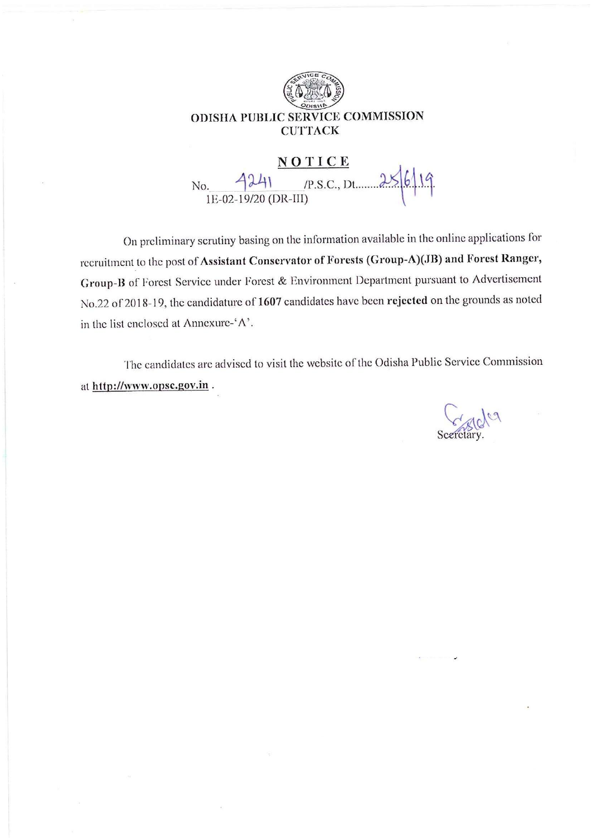

 $-4241$  (P.S.C., Dt. 256/19 No.

On preliminary scrutiny basing on the information available in the online applications for recruitment to the post of Assistant Conservator of Forests (Group-A)(JB) and Forest Ranger, Group-B of Forest Service under Forest & Environment Department pursuant to Advertisement No.22 of 2018-19, the candidature of 1607 candidates have been rejected on the grounds as noted in the list enclosed at Annexure-'A'.

The candidates are advised to visit the website of the Odisha Public Service Commission at http://www.opsc.gov.in.

Secretary.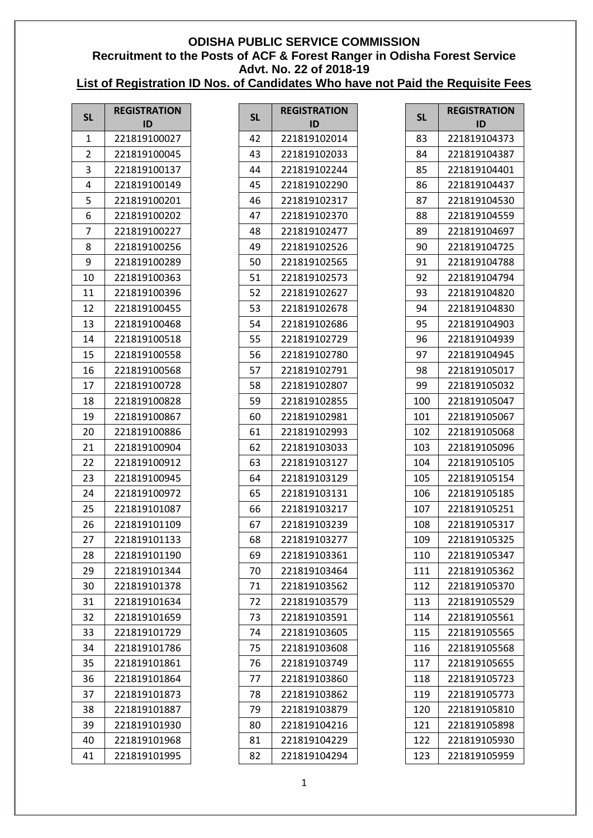| <b>SL</b> | <b>REGISTRATION</b> |  |  |  |  |  |
|-----------|---------------------|--|--|--|--|--|
|           | ID                  |  |  |  |  |  |
| 1         | 221819100027        |  |  |  |  |  |
| 2         | 221819100045        |  |  |  |  |  |
| 3         | 221819100137        |  |  |  |  |  |
| 4         | 221819100149        |  |  |  |  |  |
| 5         | 221819100201        |  |  |  |  |  |
| 6         | 221819100202        |  |  |  |  |  |
| 7         | 221819100227        |  |  |  |  |  |
| 8         | 221819100256        |  |  |  |  |  |
| 9         | 221819100289        |  |  |  |  |  |
| 10        | 221819100363        |  |  |  |  |  |
| 11        | 221819100396        |  |  |  |  |  |
| 12        | 221819100455        |  |  |  |  |  |
| 13        | 221819100468        |  |  |  |  |  |
| 14        | 221819100518        |  |  |  |  |  |
| 15        | 221819100558        |  |  |  |  |  |
| 16        | 221819100568        |  |  |  |  |  |
| 17        | 221819100728        |  |  |  |  |  |
| 18        | 221819100828        |  |  |  |  |  |
| 19        | 221819100867        |  |  |  |  |  |
| 20        | 221819100886        |  |  |  |  |  |
| 21        | 221819100904        |  |  |  |  |  |
| 22        | 221819100912        |  |  |  |  |  |
| 23        | 221819100945        |  |  |  |  |  |
| 24        | 221819100972        |  |  |  |  |  |
| 25        | 221819101087        |  |  |  |  |  |
| 26        | 221819101109        |  |  |  |  |  |
| 27        | 221819101133        |  |  |  |  |  |
| 28        | 221819101190        |  |  |  |  |  |
| 29        | 221819101344        |  |  |  |  |  |
| 30        | 221819101378        |  |  |  |  |  |
| 31        | 221819101634        |  |  |  |  |  |
| 32        | 221819101659        |  |  |  |  |  |
| 33        | 221819101729        |  |  |  |  |  |
| 34        | 221819101786        |  |  |  |  |  |
| 35        | 221819101861        |  |  |  |  |  |
| 36        | 221819101864        |  |  |  |  |  |
| 37        | 221819101873        |  |  |  |  |  |
|           |                     |  |  |  |  |  |
| 38        | 221819101887        |  |  |  |  |  |
| 39        | 221819101930        |  |  |  |  |  |
| 40        | 221819101968        |  |  |  |  |  |
| 41        | 221819101995        |  |  |  |  |  |

| <b>REGISTRATION</b><br>ID |  |  |  |  |  |  |  |  |
|---------------------------|--|--|--|--|--|--|--|--|
| 221819102014              |  |  |  |  |  |  |  |  |
| 221819102033              |  |  |  |  |  |  |  |  |
| 221819102244              |  |  |  |  |  |  |  |  |
| 221819102290              |  |  |  |  |  |  |  |  |
| 221819102317              |  |  |  |  |  |  |  |  |
| 221819102370              |  |  |  |  |  |  |  |  |
| 221819102477              |  |  |  |  |  |  |  |  |
| 221819102526              |  |  |  |  |  |  |  |  |
| 221819102565              |  |  |  |  |  |  |  |  |
| 221819102573              |  |  |  |  |  |  |  |  |
| 221819102627              |  |  |  |  |  |  |  |  |
| 221819102678              |  |  |  |  |  |  |  |  |
| 221819102686              |  |  |  |  |  |  |  |  |
| 221819102729              |  |  |  |  |  |  |  |  |
| 221819102780              |  |  |  |  |  |  |  |  |
| 221819102791              |  |  |  |  |  |  |  |  |
| 221819102807              |  |  |  |  |  |  |  |  |
| 221819102855              |  |  |  |  |  |  |  |  |
| 221819102981              |  |  |  |  |  |  |  |  |
| 221819102993              |  |  |  |  |  |  |  |  |
| 221819103033              |  |  |  |  |  |  |  |  |
| 221819103127              |  |  |  |  |  |  |  |  |
| 221819103129              |  |  |  |  |  |  |  |  |
| 221819103131              |  |  |  |  |  |  |  |  |
| 221819103217              |  |  |  |  |  |  |  |  |
| 221819103239              |  |  |  |  |  |  |  |  |
| 221819103277              |  |  |  |  |  |  |  |  |
| 221819103361              |  |  |  |  |  |  |  |  |
| 221819103464              |  |  |  |  |  |  |  |  |
| 221819103562              |  |  |  |  |  |  |  |  |
| 221819103579              |  |  |  |  |  |  |  |  |
| 221819103591              |  |  |  |  |  |  |  |  |
| 221819103605              |  |  |  |  |  |  |  |  |
| 221819103608              |  |  |  |  |  |  |  |  |
| 221819103749              |  |  |  |  |  |  |  |  |
| 221819103860              |  |  |  |  |  |  |  |  |
| 221819103862              |  |  |  |  |  |  |  |  |
| 221819103879              |  |  |  |  |  |  |  |  |
| 221819104216              |  |  |  |  |  |  |  |  |
| 221819104229              |  |  |  |  |  |  |  |  |
| 221819104294              |  |  |  |  |  |  |  |  |
|                           |  |  |  |  |  |  |  |  |

| <b>SL</b> | <b>REGISTRATION</b><br>ID |
|-----------|---------------------------|
| 83        | 221819104373              |
| 84        | 221819104387              |
| 85        | 221819104401              |
| 86        | 221819104437              |
| 87        | 221819104530              |
| 88        | 221819104559              |
| 89        | 221819104697              |
| 90        | 221819104725              |
| 91        | 221819104788              |
| 92        | 221819104794              |
| 93        | 221819104820              |
| 94        | 221819104830              |
| 95        | 221819104903              |
| 96        | 221819104939              |
| 97        | 221819104945              |
| 98        | 221819105017              |
| 99        | 221819105032              |
| 100       | 221819105047              |
| 101       | 221819105067              |
| 102       | 221819105068              |
| 103       | 221819105096              |
| 104       | 221819105105              |
| 105       | 221819105154              |
| 106       | 221819105185              |
| 107       | 221819105251              |
| 108       | 221819105317              |
| 109       | 221819105325              |
| 110       | 221819105347              |
| 111       | 221819105362              |
| 112       | 221819105370              |
| 113       | 221819105529              |
| 114       | 221819105561              |
| 115       | 221819105565              |
| 116       | 221819105568              |
| 117       | 221819105655              |
| 118       | 221819105723              |
| 119       | 221819105773              |
| 120       | 221819105810              |
| 121       | 221819105898              |
| 122       | 221819105930              |
| 123       | 221819105959              |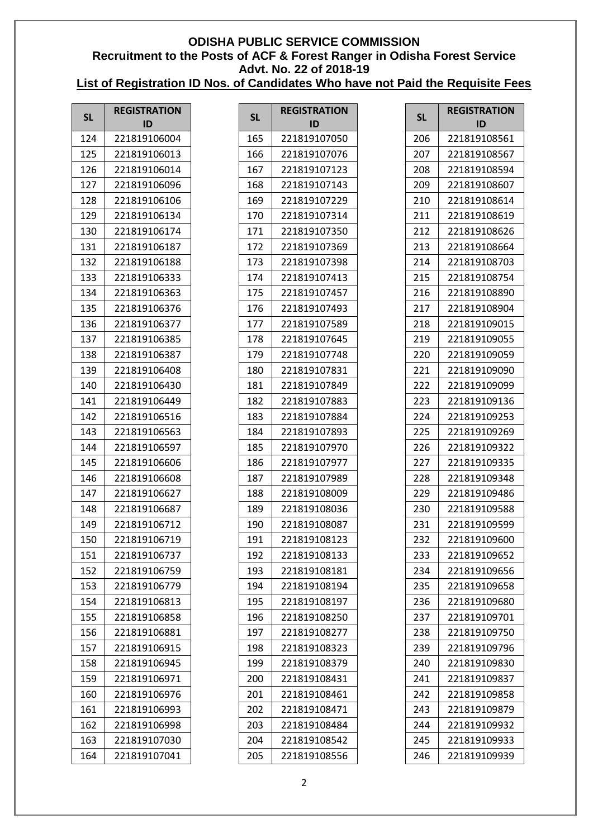| <b>SL</b> | <b>REGISTRATION</b> |  |  |  |  |
|-----------|---------------------|--|--|--|--|
|           | ID                  |  |  |  |  |
| 124       | 221819106004        |  |  |  |  |
| 125       | 221819106013        |  |  |  |  |
| 126       | 221819106014        |  |  |  |  |
| 127       | 221819106096        |  |  |  |  |
| 128       | 221819106106        |  |  |  |  |
| 129       | 221819106134        |  |  |  |  |
| 130       | 221819106174        |  |  |  |  |
| 131       | 221819106187        |  |  |  |  |
| 132       | 221819106188        |  |  |  |  |
| 133       | 221819106333        |  |  |  |  |
| 134       | 221819106363        |  |  |  |  |
| 135       | 221819106376        |  |  |  |  |
| 136       | 221819106377        |  |  |  |  |
| 137       | 221819106385        |  |  |  |  |
| 138       | 221819106387        |  |  |  |  |
| 139       | 221819106408        |  |  |  |  |
| 140       | 221819106430        |  |  |  |  |
| 141       | 221819106449        |  |  |  |  |
| 142       | 221819106516        |  |  |  |  |
| 143       | 221819106563        |  |  |  |  |
| 144       | 221819106597        |  |  |  |  |
| 145       | 221819106606        |  |  |  |  |
| 146       | 221819106608        |  |  |  |  |
| 147       | 221819106627        |  |  |  |  |
| 148       | 221819106687        |  |  |  |  |
| 149       | 221819106712        |  |  |  |  |
| 150       | 221819106719        |  |  |  |  |
| 151       | 221819106737        |  |  |  |  |
| 152       | 221819106759        |  |  |  |  |
| 153       | 221819106779        |  |  |  |  |
| 154       | 221819106813        |  |  |  |  |
| 155       | 221819106858        |  |  |  |  |
| 156       | 221819106881        |  |  |  |  |
| 157       | 221819106915        |  |  |  |  |
| 158       | 221819106945        |  |  |  |  |
| 159       | 221819106971        |  |  |  |  |
| 160       | 221819106976        |  |  |  |  |
| 161       | 221819106993        |  |  |  |  |
| 162       | 221819106998        |  |  |  |  |
| 163       | 221819107030        |  |  |  |  |
| 164       | 221819107041        |  |  |  |  |
|           |                     |  |  |  |  |

| <b>SL</b> | <b>REGISTRATION</b><br>ID |
|-----------|---------------------------|
| 165       | 221819107050              |
| 166       | 221819107076              |
| 167       | 221819107123              |
| 168       | 221819107143              |
| 169       | 221819107229              |
| 170       | 221819107314              |
| 171       | 221819107350              |
| 172       | 221819107369              |
| 173       | 221819107398              |
| 174       | 221819107413              |
| 175       | 221819107457              |
| 176       | 221819107493              |
| 177       | 221819107589              |
| 178       | 221819107645              |
| 179       | 221819107748              |
| 180       | 221819107831              |
| 181       | 221819107849              |
| 182       | 221819107883              |
| 183       | 221819107884              |
| 184       | 221819107893              |
| 185       | 221819107970              |
| 186       | 221819107977              |
| 187       | 221819107989              |
| 188       | 221819108009              |
| 189       | 221819108036              |
| 190       | 221819108087              |
| 191       | 221819108123              |
| 192       | 221819108133              |
| 193       | 221819108181              |
| 194       | 221819108194              |
| 195       | 221819108197              |
| 196       | 221819108250              |
| 197       | 221819108277              |
| 198       | 221819108323              |
| 199       | 221819108379              |
| 200       | 221819108431              |
| 201       | 221819108461              |
| 202       | 221819108471              |
| 203       | 221819108484              |
| 204       | 221819108542              |
| 205       | 221819108556              |

| <b>SL</b> | <b>REGISTRATION</b><br>ID |
|-----------|---------------------------|
| 206       | 221819108561              |
| 207       | 221819108567              |
| 208       | 221819108594              |
| 209       | 221819108607              |
| 210       | 221819108614              |
| 211       | 221819108619              |
| 212       | 221819108626              |
| 213       | 221819108664              |
| 214       | 221819108703              |
| 215       | 221819108754              |
| 216       | 221819108890              |
| 217       | 221819108904              |
| 218       | 221819109015              |
| 219       | 221819109055              |
| 220       | 221819109059              |
| 221       | 221819109090              |
| 222       | 221819109099              |
| 223       | 221819109136              |
| 224       | 221819109253              |
| 225       | 221819109269              |
| 226       | 221819109322              |
| 227       | 221819109335              |
| 228       | 221819109348              |
| 229       | 221819109486              |
| 230       | 221819109588              |
| 231       | 221819109599              |
| 232       | 221819109600              |
| 233       | 221819109652              |
| 234       | 221819109656              |
| 235       | 221819109658              |
| 236       | 221819109680              |
| 237       | 221819109701              |
| 238       | 221819109750              |
| 239       | 221819109796              |
| 240       | 221819109830              |
| 241       | 221819109837              |
| 242       | 221819109858              |
| 243       | 221819109879              |
| 244       | 221819109932              |
| 245       | 221819109933              |
| 246       | 221819109939              |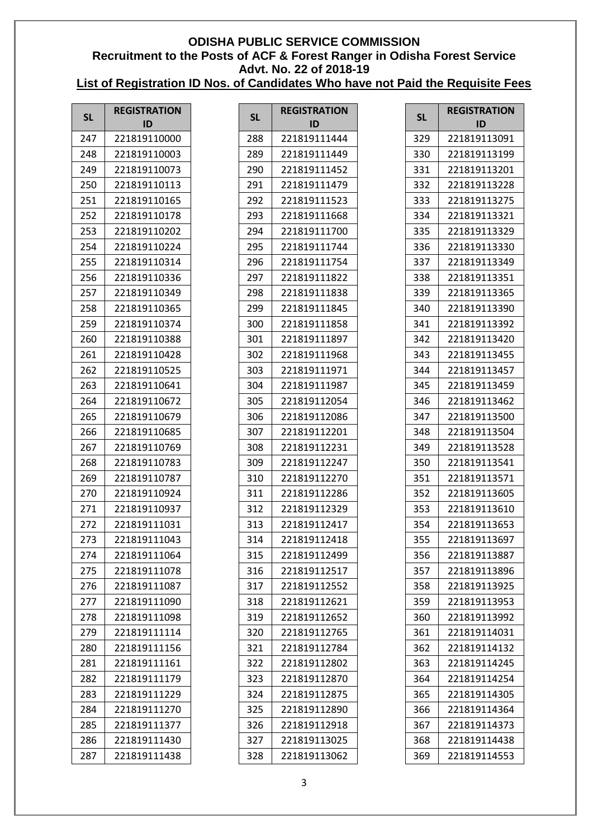| <b>SL</b> | <b>REGISTRATION</b><br>ID | <b>SL</b> | <b>REGISTRATION</b><br>ID | <b>SL</b> | <b>REGISTRATION</b><br>ID |
|-----------|---------------------------|-----------|---------------------------|-----------|---------------------------|
| 247       | 221819110000              | 288       | 221819111444              | 329       | 221819113091              |
| 248       | 221819110003              | 289       | 221819111449              | 330       | 221819113199              |
| 249       | 221819110073              | 290       | 221819111452              | 331       | 221819113201              |
| 250       | 221819110113              | 291       | 221819111479              | 332       | 221819113228              |
| 251       | 221819110165              | 292       | 221819111523              | 333       | 221819113275              |
| 252       | 221819110178              | 293       | 221819111668              | 334       | 221819113321              |
| 253       | 221819110202              | 294       | 221819111700              | 335       | 221819113329              |
| 254       | 221819110224              | 295       | 221819111744              | 336       | 221819113330              |
| 255       | 221819110314              | 296       | 221819111754              | 337       | 221819113349              |
| 256       | 221819110336              | 297       | 221819111822              | 338       | 221819113351              |
| 257       | 221819110349              | 298       | 221819111838              | 339       | 221819113365              |
| 258       | 221819110365              | 299       | 221819111845              | 340       | 221819113390              |
| 259       | 221819110374              | 300       | 221819111858              | 341       | 221819113392              |
| 260       | 221819110388              | 301       | 221819111897              | 342       | 221819113420              |
| 261       | 221819110428              | 302       | 221819111968              | 343       | 221819113455              |
| 262       | 221819110525              | 303       | 221819111971              | 344       | 221819113457              |
| 263       | 221819110641              | 304       | 221819111987              | 345       | 221819113459              |
| 264       | 221819110672              | 305       | 221819112054              | 346       | 221819113462              |
| 265       | 221819110679              | 306       | 221819112086              | 347       | 221819113500              |
| 266       | 221819110685              | 307       | 221819112201              | 348       | 221819113504              |
| 267       | 221819110769              | 308       | 221819112231              | 349       | 221819113528              |
| 268       | 221819110783              | 309       | 221819112247              | 350       | 221819113541              |
| 269       | 221819110787              | 310       | 221819112270              | 351       | 221819113571              |
| 270       | 221819110924              | 311       | 221819112286              | 352       | 221819113605              |
| 271       | 221819110937              | 312       | 221819112329              | 353       | 221819113610              |
| 272       | 221819111031              | 313       | 221819112417              | 354       | 221819113653              |
| 273       | 221819111043              | 314       | 221819112418              | 355       | 221819113697              |
| 274       | 221819111064              | 315       | 221819112499              | 356       | 221819113887              |
| 275       | 221819111078              | 316       | 221819112517              | 357       | 221819113896              |
| 276       | 221819111087              | 317       | 221819112552              | 358       | 221819113925              |
| 277       | 221819111090              | 318       | 221819112621              | 359       | 221819113953              |
| 278       | 221819111098              | 319       | 221819112652              | 360       | 221819113992              |
| 279       | 221819111114              | 320       | 221819112765              | 361       | 221819114031              |
| 280       | 221819111156              | 321       | 221819112784              | 362       | 221819114132              |
| 281       | 221819111161              | 322       | 221819112802              | 363       | 221819114245              |
| 282       | 221819111179              | 323       | 221819112870              | 364       | 221819114254              |
| 283       | 221819111229              | 324       | 221819112875              | 365       | 221819114305              |
| 284       | 221819111270              | 325       | 221819112890              | 366       | 221819114364              |
| 285       | 221819111377              | 326       | 221819112918              | 367       | 221819114373              |
| 286       | 221819111430              | 327       | 221819113025              | 368       | 221819114438              |
| 287       | 221819111438              | 328       | 221819113062              | 369       | 221819114553              |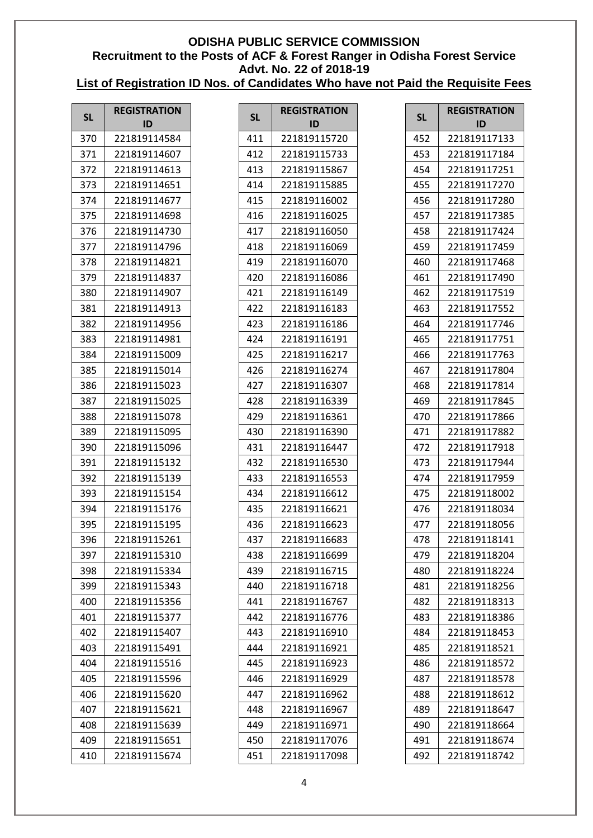| <b>SL</b> | <b>REGISTRATION</b><br>ID | <b>SL</b> | <b>REGISTRATION</b><br>ID | <b>SL</b> | <b>REGISTRATION</b><br>ID |
|-----------|---------------------------|-----------|---------------------------|-----------|---------------------------|
| 370       | 221819114584              | 411       | 221819115720              | 452       | 221819117133              |
| 371       | 221819114607              | 412       | 221819115733              | 453       | 221819117184              |
| 372       | 221819114613              | 413       | 221819115867              | 454       | 221819117251              |
| 373       | 221819114651              | 414       | 221819115885              | 455       | 221819117270              |
| 374       | 221819114677              | 415       | 221819116002              | 456       | 221819117280              |
| 375       | 221819114698              | 416       | 221819116025              | 457       | 221819117385              |
| 376       | 221819114730              | 417       | 221819116050              | 458       | 221819117424              |
| 377       | 221819114796              | 418       | 221819116069              | 459       | 221819117459              |
| 378       | 221819114821              | 419       | 221819116070              | 460       | 221819117468              |
| 379       | 221819114837              | 420       | 221819116086              | 461       | 221819117490              |
| 380       | 221819114907              | 421       | 221819116149              | 462       | 221819117519              |
| 381       | 221819114913              | 422       | 221819116183              | 463       | 221819117552              |
| 382       | 221819114956              | 423       | 221819116186              | 464       | 221819117746              |
| 383       | 221819114981              | 424       | 221819116191              | 465       | 221819117751              |
| 384       | 221819115009              | 425       | 221819116217              | 466       | 221819117763              |
| 385       | 221819115014              | 426       | 221819116274              | 467       | 221819117804              |
| 386       | 221819115023              | 427       | 221819116307              | 468       | 221819117814              |
| 387       | 221819115025              | 428       | 221819116339              | 469       | 221819117845              |
| 388       | 221819115078              | 429       | 221819116361              | 470       | 221819117866              |
| 389       | 221819115095              | 430       | 221819116390              | 471       | 221819117882              |
| 390       | 221819115096              | 431       | 221819116447              | 472       | 221819117918              |
| 391       | 221819115132              | 432       | 221819116530              | 473       | 221819117944              |
| 392       | 221819115139              | 433       | 221819116553              | 474       | 221819117959              |
| 393       | 221819115154              | 434       | 221819116612              | 475       | 221819118002              |
| 394       | 221819115176              | 435       | 221819116621              | 476       | 221819118034              |
| 395       | 221819115195              | 436       | 221819116623              | 477       | 221819118056              |
| 396       | 221819115261              | 437       | 221819116683              | 478       | 221819118141              |
| 397       | 221819115310              | 438       | 221819116699              | 479       | 221819118204              |
| 398       | 221819115334              | 439       | 221819116715              | 480       | 221819118224              |
| 399       | 221819115343              | 440       | 221819116718              | 481       | 221819118256              |
| 400       | 221819115356              | 441       | 221819116767              | 482       | 221819118313              |
| 401       | 221819115377              | 442       | 221819116776              | 483       | 221819118386              |
| 402       | 221819115407              | 443       | 221819116910              | 484       | 221819118453              |
| 403       | 221819115491              | 444       | 221819116921              | 485       | 221819118521              |
| 404       | 221819115516              | 445       | 221819116923              | 486       | 221819118572              |
| 405       | 221819115596              | 446       | 221819116929              | 487       | 221819118578              |
| 406       | 221819115620              | 447       | 221819116962              | 488       | 221819118612              |
| 407       | 221819115621              | 448       | 221819116967              | 489       | 221819118647              |
| 408       | 221819115639              | 449       | 221819116971              | 490       | 221819118664              |
| 409       | 221819115651              | 450       | 221819117076              | 491       | 221819118674              |
| 410       | 221819115674              | 451       | 221819117098              | 492       | 221819118742              |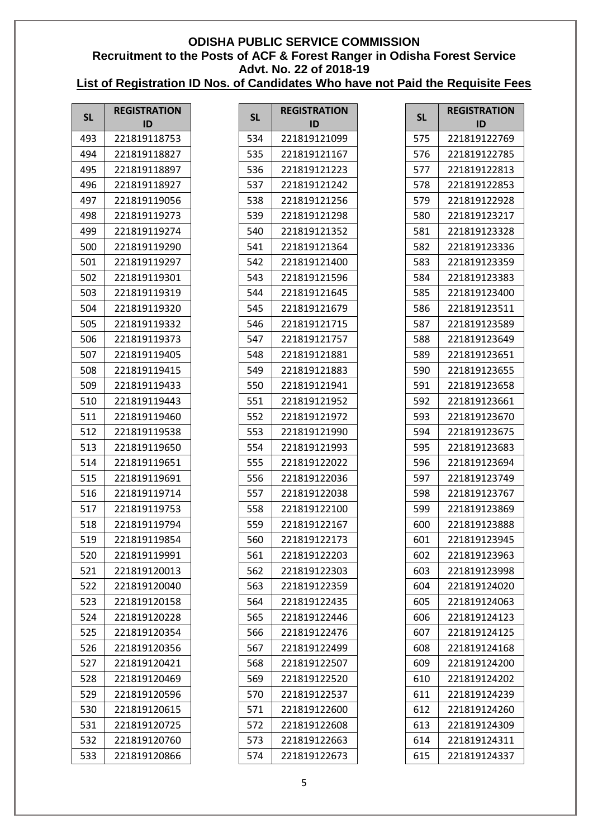| <b>SL</b> | <b>REGISTRATION</b> | <b>SL</b> | <b>REGISTRATION</b> | <b>SL</b> | <b>REGISTRATION</b> |
|-----------|---------------------|-----------|---------------------|-----------|---------------------|
|           | ID                  |           | ID                  |           | ID                  |
| 493       | 221819118753        | 534       | 221819121099        | 575       | 221819122769        |
| 494       | 221819118827        | 535       | 221819121167        | 576       | 221819122785        |
| 495       | 221819118897        | 536       | 221819121223        | 577       | 221819122813        |
| 496       | 221819118927        | 537       | 221819121242        | 578       | 221819122853        |
| 497       | 221819119056        | 538       | 221819121256        | 579       | 221819122928        |
| 498       | 221819119273        | 539       | 221819121298        | 580       | 221819123217        |
| 499       | 221819119274        | 540       | 221819121352        | 581       | 221819123328        |
| 500       | 221819119290        | 541       | 221819121364        | 582       | 221819123336        |
| 501       | 221819119297        | 542       | 221819121400        | 583       | 221819123359        |
| 502       | 221819119301        | 543       | 221819121596        | 584       | 221819123383        |
| 503       | 221819119319        | 544       | 221819121645        | 585       | 221819123400        |
| 504       | 221819119320        | 545       | 221819121679        | 586       | 221819123511        |
| 505       | 221819119332        | 546       | 221819121715        | 587       | 221819123589        |
| 506       | 221819119373        | 547       | 221819121757        | 588       | 221819123649        |
| 507       | 221819119405        | 548       | 221819121881        | 589       | 221819123651        |
| 508       | 221819119415        | 549       | 221819121883        | 590       | 221819123655        |
| 509       | 221819119433        | 550       | 221819121941        | 591       | 221819123658        |
| 510       | 221819119443        | 551       | 221819121952        | 592       | 221819123661        |
| 511       | 221819119460        | 552       | 221819121972        | 593       | 221819123670        |
| 512       | 221819119538        | 553       | 221819121990        | 594       | 221819123675        |
| 513       | 221819119650        | 554       | 221819121993        | 595       | 221819123683        |
| 514       | 221819119651        | 555       | 221819122022        | 596       | 221819123694        |
| 515       | 221819119691        | 556       | 221819122036        | 597       | 221819123749        |
| 516       | 221819119714        | 557       | 221819122038        | 598       | 221819123767        |
| 517       | 221819119753        | 558       | 221819122100        | 599       | 221819123869        |
| 518       | 221819119794        | 559       | 221819122167        | 600       | 221819123888        |
| 519       | 221819119854        | 560       | 221819122173        | 601       | 221819123945        |
| 520       | 221819119991        | 561       | 221819122203        | 602       | 221819123963        |
| 521       | 221819120013        | 562       | 221819122303        | 603       | 221819123998        |
| 522       | 221819120040        | 563       | 221819122359        | 604       | 221819124020        |
| 523       | 221819120158        | 564       | 221819122435        | 605       | 221819124063        |
| 524       | 221819120228        | 565       | 221819122446        | 606       | 221819124123        |
| 525       | 221819120354        | 566       | 221819122476        | 607       | 221819124125        |
| 526       | 221819120356        | 567       | 221819122499        | 608       | 221819124168        |
| 527       | 221819120421        | 568       | 221819122507        | 609       | 221819124200        |
| 528       | 221819120469        | 569       | 221819122520        | 610       | 221819124202        |
| 529       | 221819120596        | 570       | 221819122537        | 611       | 221819124239        |
| 530       | 221819120615        | 571       | 221819122600        | 612       | 221819124260        |
| 531       | 221819120725        | 572       | 221819122608        | 613       | 221819124309        |
| 532       | 221819120760        | 573       | 221819122663        | 614       | 221819124311        |
| 533       | 221819120866        | 574       | 221819122673        | 615       | 221819124337        |
|           |                     |           |                     |           |                     |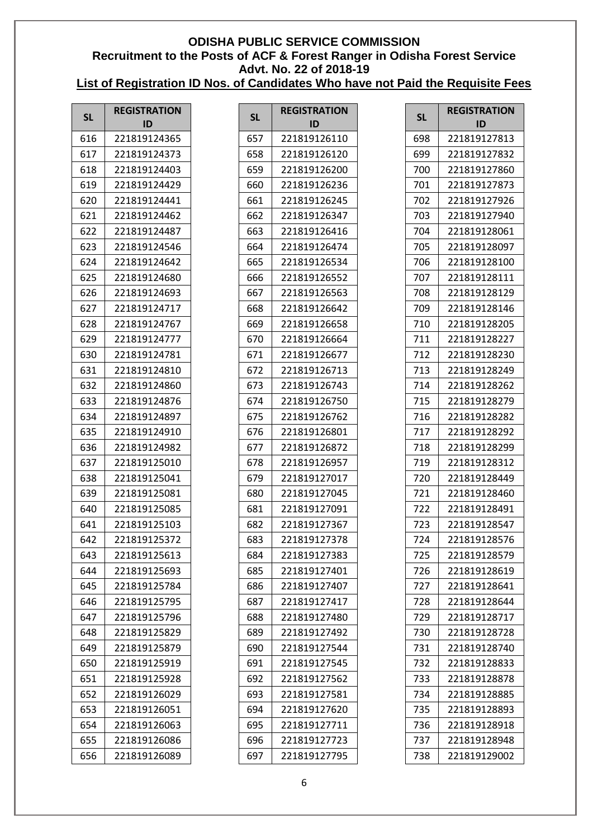| <b>SL</b> | <b>REGISTRATION</b> | <b>SL</b> | <b>REGISTRATION</b> | <b>SL</b> | <b>REGISTRATION</b> |
|-----------|---------------------|-----------|---------------------|-----------|---------------------|
|           | ID                  |           | ID                  |           | ID                  |
| 616       | 221819124365        | 657       | 221819126110        | 698       | 221819127813        |
| 617       | 221819124373        | 658       | 221819126120        | 699       | 221819127832        |
| 618       | 221819124403        | 659       | 221819126200        | 700       | 221819127860        |
| 619       | 221819124429        | 660       | 221819126236        | 701       | 221819127873        |
| 620       | 221819124441        | 661       | 221819126245        | 702       | 221819127926        |
| 621       | 221819124462        | 662       | 221819126347        | 703       | 221819127940        |
| 622       | 221819124487        | 663       | 221819126416        | 704       | 221819128061        |
| 623       | 221819124546        | 664       | 221819126474        | 705       | 221819128097        |
| 624       | 221819124642        | 665       | 221819126534        | 706       | 221819128100        |
| 625       | 221819124680        | 666       | 221819126552        | 707       | 221819128111        |
| 626       | 221819124693        | 667       | 221819126563        | 708       | 221819128129        |
| 627       | 221819124717        | 668       | 221819126642        | 709       | 221819128146        |
| 628       | 221819124767        | 669       | 221819126658        | 710       | 221819128205        |
| 629       | 221819124777        | 670       | 221819126664        | 711       | 221819128227        |
| 630       | 221819124781        | 671       | 221819126677        | 712       | 221819128230        |
| 631       | 221819124810        | 672       | 221819126713        | 713       | 221819128249        |
| 632       | 221819124860        | 673       | 221819126743        | 714       | 221819128262        |
| 633       | 221819124876        | 674       | 221819126750        | 715       | 221819128279        |
| 634       | 221819124897        | 675       | 221819126762        | 716       | 221819128282        |
| 635       | 221819124910        | 676       | 221819126801        | 717       | 221819128292        |
| 636       | 221819124982        | 677       | 221819126872        | 718       | 221819128299        |
| 637       | 221819125010        | 678       | 221819126957        | 719       | 221819128312        |
| 638       | 221819125041        | 679       | 221819127017        | 720       | 221819128449        |
| 639       | 221819125081        | 680       | 221819127045        | 721       | 221819128460        |
| 640       | 221819125085        | 681       | 221819127091        | 722       | 221819128491        |
| 641       | 221819125103        | 682       | 221819127367        | 723       | 221819128547        |
| 642       | 221819125372        | 683       | 221819127378        | 724       | 221819128576        |
| 643       | 221819125613        | 684       | 221819127383        | 725       | 221819128579        |
| 644       | 221819125693        | 685       | 221819127401        | 726       | 221819128619        |
| 645       | 221819125784        | 686       | 221819127407        | 727       | 221819128641        |
| 646       | 221819125795        | 687       | 221819127417        | 728       | 221819128644        |
| 647       | 221819125796        | 688       | 221819127480        | 729       | 221819128717        |
| 648       | 221819125829        | 689       | 221819127492        | 730       | 221819128728        |
| 649       | 221819125879        | 690       | 221819127544        | 731       | 221819128740        |
| 650       | 221819125919        | 691       | 221819127545        | 732       | 221819128833        |
| 651       | 221819125928        | 692       | 221819127562        | 733       | 221819128878        |
| 652       | 221819126029        | 693       | 221819127581        | 734       | 221819128885        |
| 653       | 221819126051        | 694       | 221819127620        | 735       | 221819128893        |
| 654       | 221819126063        | 695       | 221819127711        | 736       | 221819128918        |
| 655       | 221819126086        | 696       | 221819127723        | 737       | 221819128948        |
| 656       | 221819126089        | 697       | 221819127795        | 738       | 221819129002        |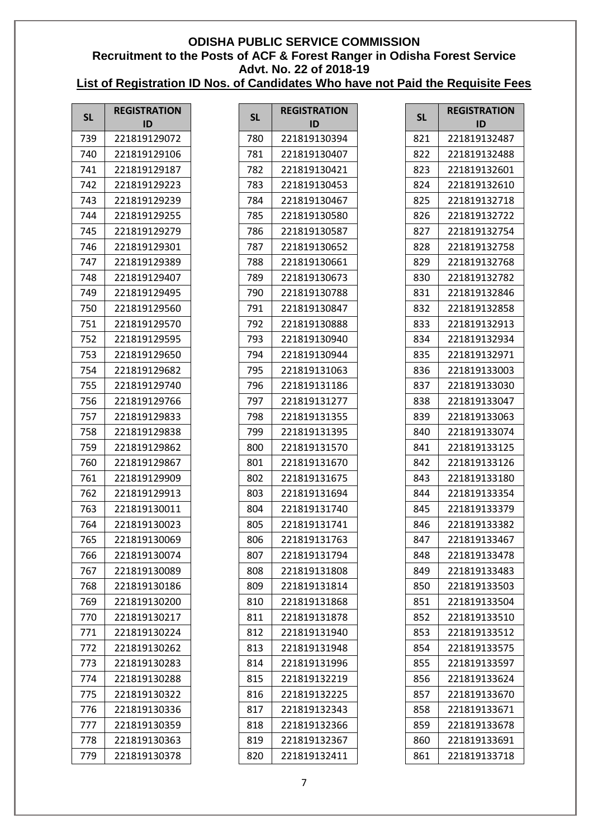| <b>SL</b>  | <b>REGISTRATION</b><br>ID    | <b>SL</b>  | <b>REGISTRATION</b><br>ID    | <b>SL</b>  | <b>REGISTRATION</b><br>ID    |
|------------|------------------------------|------------|------------------------------|------------|------------------------------|
|            |                              |            |                              |            |                              |
| 739        | 221819129072                 | 780        | 221819130394                 | 821        | 221819132487                 |
| 740<br>741 | 221819129106<br>221819129187 | 781<br>782 | 221819130407<br>221819130421 | 822<br>823 | 221819132488<br>221819132601 |
| 742        | 221819129223                 | 783        | 221819130453                 | 824        | 221819132610                 |
| 743        | 221819129239                 | 784        | 221819130467                 | 825        | 221819132718                 |
| 744        | 221819129255                 | 785        | 221819130580                 | 826        | 221819132722                 |
| 745        | 221819129279                 | 786        | 221819130587                 | 827        | 221819132754                 |
| 746        | 221819129301                 | 787        | 221819130652                 | 828        | 221819132758                 |
| 747        | 221819129389                 | 788        | 221819130661                 | 829        | 221819132768                 |
| 748        | 221819129407                 | 789        | 221819130673                 | 830        | 221819132782                 |
| 749        | 221819129495                 | 790        | 221819130788                 | 831        | 221819132846                 |
| 750        | 221819129560                 | 791        | 221819130847                 | 832        | 221819132858                 |
| 751        | 221819129570                 | 792        | 221819130888                 | 833        | 221819132913                 |
| 752        | 221819129595                 | 793        | 221819130940                 | 834        | 221819132934                 |
| 753        | 221819129650                 | 794        | 221819130944                 | 835        | 221819132971                 |
| 754        | 221819129682                 | 795        | 221819131063                 | 836        | 221819133003                 |
| 755        | 221819129740                 | 796        | 221819131186                 | 837        | 221819133030                 |
| 756        | 221819129766                 | 797        | 221819131277                 | 838        | 221819133047                 |
| 757        | 221819129833                 | 798        | 221819131355                 | 839        | 221819133063                 |
| 758        | 221819129838                 | 799        | 221819131395                 | 840        | 221819133074                 |
| 759        | 221819129862                 | 800        | 221819131570                 | 841        | 221819133125                 |
| 760        | 221819129867                 | 801        | 221819131670                 | 842        | 221819133126                 |
| 761        | 221819129909                 | 802        | 221819131675                 | 843        | 221819133180                 |
| 762        | 221819129913                 | 803        | 221819131694                 | 844        | 221819133354                 |
| 763        | 221819130011                 | 804        | 221819131740                 | 845        | 221819133379                 |
| 764        | 221819130023                 | 805        | 221819131741                 | 846        | 221819133382                 |
| 765        | 221819130069                 | 806        | 221819131763                 | 847        | 221819133467                 |
| 766        | 221819130074                 | 807        | 221819131794                 | 848        | 221819133478                 |
| 767        | 221819130089                 | 808        | 221819131808                 | 849        | 221819133483                 |
| 768        | 221819130186                 | 809        | 221819131814                 | 850        | 221819133503                 |
| 769        | 221819130200                 | 810        | 221819131868                 | 851        | 221819133504                 |
| 770        | 221819130217                 | 811        | 221819131878                 | 852        | 221819133510                 |
| 771        | 221819130224                 | 812        | 221819131940                 | 853        | 221819133512                 |
| 772        | 221819130262                 | 813        | 221819131948                 | 854        | 221819133575                 |
| 773        | 221819130283                 | 814        | 221819131996                 | 855        | 221819133597                 |
| 774        | 221819130288                 | 815        | 221819132219                 | 856        | 221819133624                 |
| 775        | 221819130322                 | 816        | 221819132225                 | 857        | 221819133670                 |
| 776        | 221819130336                 | 817        | 221819132343                 | 858        | 221819133671                 |
| 777        | 221819130359                 | 818        | 221819132366                 | 859        | 221819133678                 |
| 778        | 221819130363                 | 819        | 221819132367                 | 860        | 221819133691                 |
| 779        | 221819130378                 | 820        | 221819132411                 | 861        | 221819133718                 |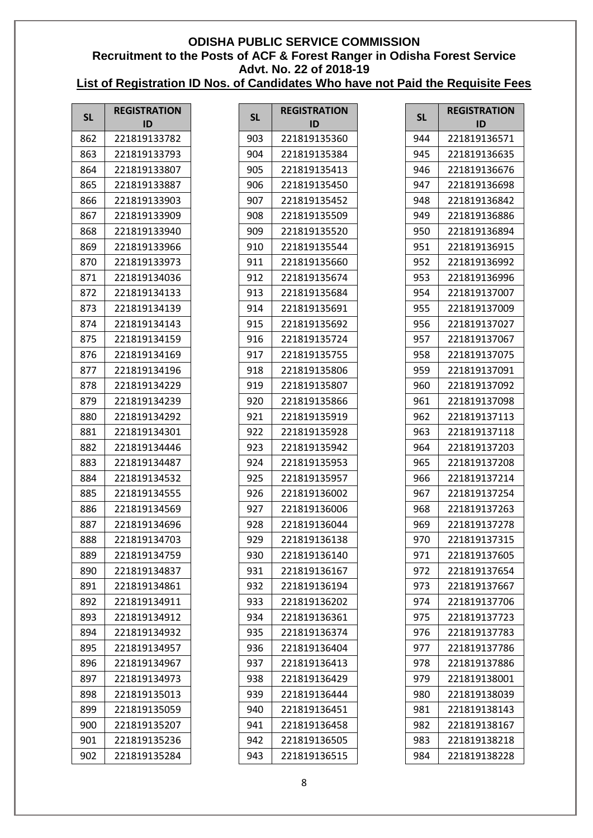| <b>SL</b> | <b>REGISTRATION</b> | <b>SL</b> | <b>REGISTRATION</b> | <b>SL</b> | <b>REGISTRATION</b> |
|-----------|---------------------|-----------|---------------------|-----------|---------------------|
|           | ID                  |           | ID                  |           | ID                  |
| 862       | 221819133782        | 903       | 221819135360        | 944       | 221819136571        |
| 863       | 221819133793        | 904       | 221819135384        | 945       | 221819136635        |
| 864       | 221819133807        | 905       | 221819135413        | 946       | 221819136676        |
| 865       | 221819133887        | 906       | 221819135450        | 947       | 221819136698        |
| 866       | 221819133903        | 907       | 221819135452        | 948       | 221819136842        |
| 867       | 221819133909        | 908       | 221819135509        | 949       | 221819136886        |
| 868       | 221819133940        | 909       | 221819135520        | 950       | 221819136894        |
| 869       | 221819133966        | 910       | 221819135544        | 951       | 221819136915        |
| 870       | 221819133973        | 911       | 221819135660        | 952       | 221819136992        |
| 871       | 221819134036        | 912       | 221819135674        | 953       | 221819136996        |
| 872       | 221819134133        | 913       | 221819135684        | 954       | 221819137007        |
| 873       | 221819134139        | 914       | 221819135691        | 955       | 221819137009        |
| 874       | 221819134143        | 915       | 221819135692        | 956       | 221819137027        |
| 875       | 221819134159        | 916       | 221819135724        | 957       | 221819137067        |
| 876       | 221819134169        | 917       | 221819135755        | 958       | 221819137075        |
| 877       | 221819134196        | 918       | 221819135806        | 959       | 221819137091        |
| 878       | 221819134229        | 919       | 221819135807        | 960       | 221819137092        |
| 879       | 221819134239        | 920       | 221819135866        | 961       | 221819137098        |
| 880       | 221819134292        | 921       | 221819135919        | 962       | 221819137113        |
| 881       | 221819134301        | 922       | 221819135928        | 963       | 221819137118        |
| 882       | 221819134446        | 923       | 221819135942        | 964       | 221819137203        |
| 883       | 221819134487        | 924       | 221819135953        | 965       | 221819137208        |
| 884       | 221819134532        | 925       | 221819135957        | 966       | 221819137214        |
| 885       | 221819134555        | 926       | 221819136002        | 967       | 221819137254        |
| 886       | 221819134569        | 927       | 221819136006        | 968       | 221819137263        |
| 887       | 221819134696        | 928       | 221819136044        | 969       | 221819137278        |
| 888       | 221819134703        | 929       | 221819136138        | 970       | 221819137315        |
| 889       | 221819134759        | 930       | 221819136140        | 971       | 221819137605        |
| 890       | 221819134837        | 931       | 221819136167        | 972       | 221819137654        |
| 891       | 221819134861        | 932       | 221819136194        | 973       | 221819137667        |
| 892       | 221819134911        | 933       | 221819136202        | 974       | 221819137706        |
| 893       | 221819134912        | 934       | 221819136361        | 975       | 221819137723        |
| 894       | 221819134932        | 935       | 221819136374        | 976       | 221819137783        |
| 895       | 221819134957        | 936       | 221819136404        | 977       | 221819137786        |
| 896       | 221819134967        | 937       | 221819136413        | 978       | 221819137886        |
| 897       | 221819134973        | 938       | 221819136429        | 979       | 221819138001        |
| 898       | 221819135013        | 939       | 221819136444        | 980       | 221819138039        |
| 899       | 221819135059        | 940       | 221819136451        | 981       | 221819138143        |
| 900       | 221819135207        | 941       | 221819136458        | 982       | 221819138167        |
| 901       | 221819135236        | 942       | 221819136505        | 983       | 221819138218        |
| 902       | 221819135284        | 943       | 221819136515        | 984       | 221819138228        |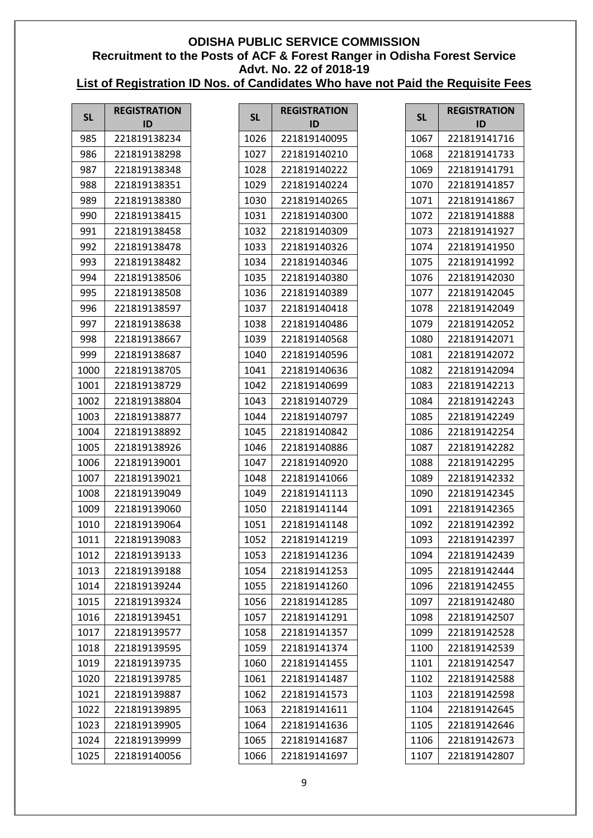| <b>SL</b> | <b>REGISTRATION</b><br>ID | <b>SL</b> | <b>REGISTRATION</b><br>ID | <b>SL</b> | <b>REGISTRATION</b><br>ID |
|-----------|---------------------------|-----------|---------------------------|-----------|---------------------------|
| 985       | 221819138234              | 1026      | 221819140095              | 1067      | 221819141716              |
| 986       | 221819138298              | 1027      | 221819140210              | 1068      | 221819141733              |
| 987       | 221819138348              | 1028      | 221819140222              | 1069      | 221819141791              |
| 988       | 221819138351              | 1029      | 221819140224              | 1070      | 221819141857              |
| 989       | 221819138380              | 1030      | 221819140265              | 1071      | 221819141867              |
| 990       | 221819138415              | 1031      | 221819140300              | 1072      | 221819141888              |
| 991       | 221819138458              | 1032      | 221819140309              | 1073      | 221819141927              |
| 992       | 221819138478              | 1033      | 221819140326              | 1074      | 221819141950              |
| 993       | 221819138482              | 1034      | 221819140346              | 1075      | 221819141992              |
| 994       | 221819138506              | 1035      | 221819140380              | 1076      | 221819142030              |
| 995       | 221819138508              | 1036      | 221819140389              | 1077      | 221819142045              |
| 996       | 221819138597              | 1037      | 221819140418              | 1078      | 221819142049              |
| 997       | 221819138638              | 1038      | 221819140486              | 1079      | 221819142052              |
| 998       | 221819138667              | 1039      | 221819140568              | 1080      | 221819142071              |
| 999       | 221819138687              | 1040      | 221819140596              | 1081      | 221819142072              |
| 1000      | 221819138705              | 1041      | 221819140636              | 1082      | 221819142094              |
| 1001      | 221819138729              | 1042      | 221819140699              | 1083      | 221819142213              |
| 1002      | 221819138804              | 1043      | 221819140729              | 1084      | 221819142243              |
| 1003      | 221819138877              | 1044      | 221819140797              | 1085      | 221819142249              |
| 1004      | 221819138892              | 1045      | 221819140842              | 1086      | 221819142254              |
| 1005      | 221819138926              | 1046      | 221819140886              | 1087      | 221819142282              |
| 1006      | 221819139001              | 1047      | 221819140920              | 1088      | 221819142295              |
| 1007      | 221819139021              | 1048      | 221819141066              | 1089      | 221819142332              |
| 1008      | 221819139049              | 1049      | 221819141113              | 1090      | 221819142345              |
| 1009      | 221819139060              | 1050      | 221819141144              | 1091      | 221819142365              |
| 1010      | 221819139064              | 1051      | 221819141148              | 1092      | 221819142392              |
| 1011      | 221819139083              | 1052      | 221819141219              | 1093      | 221819142397              |
| 1012      | 221819139133              | 1053      | 221819141236              | 1094      | 221819142439              |
| 1013      | 221819139188              | 1054      | 221819141253              | 1095      | 221819142444              |
| 1014      | 221819139244              | 1055      | 221819141260              | 1096      | 221819142455              |
| 1015      | 221819139324              | 1056      | 221819141285              | 1097      | 221819142480              |
| 1016      | 221819139451              | 1057      | 221819141291              | 1098      | 221819142507              |
| 1017      | 221819139577              | 1058      | 221819141357              | 1099      | 221819142528              |
| 1018      | 221819139595              | 1059      | 221819141374              | 1100      | 221819142539              |
| 1019      | 221819139735              | 1060      | 221819141455              | 1101      | 221819142547              |
| 1020      | 221819139785              | 1061      | 221819141487              | 1102      | 221819142588              |
| 1021      | 221819139887              | 1062      | 221819141573              | 1103      | 221819142598              |
| 1022      | 221819139895              | 1063      | 221819141611              | 1104      | 221819142645              |
| 1023      | 221819139905              | 1064      | 221819141636              | 1105      | 221819142646              |
| 1024      | 221819139999              | 1065      | 221819141687              | 1106      | 221819142673              |
| 1025      | 221819140056              | 1066      | 221819141697              | 1107      | 221819142807              |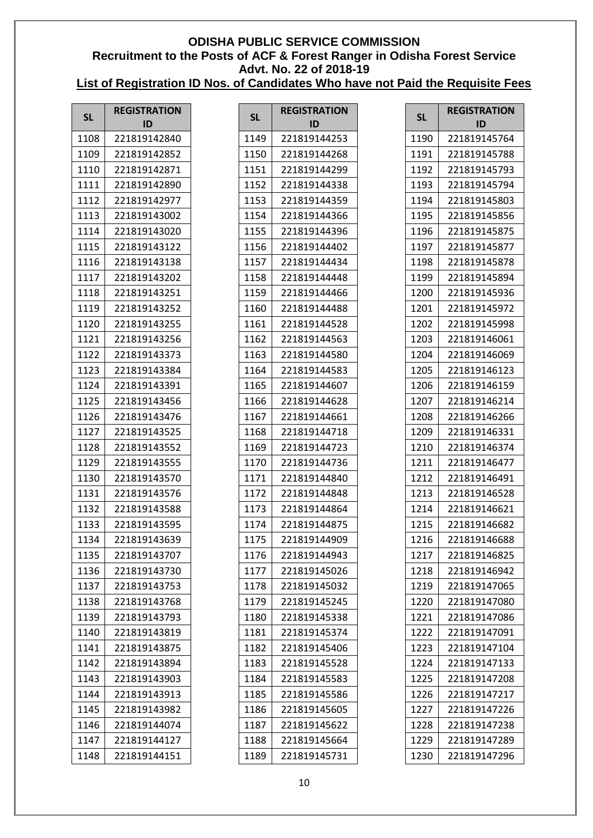| <b>SL</b> | <b>REGISTRATION</b> | <b>SL</b> | <b>REGISTRATION</b> | <b>SL</b> | <b>REGISTRATION</b> |
|-----------|---------------------|-----------|---------------------|-----------|---------------------|
|           | ID                  |           | ID                  |           | ID                  |
| 1108      | 221819142840        | 1149      | 221819144253        | 1190      | 221819145764        |
| 1109      | 221819142852        | 1150      | 221819144268        | 1191      | 221819145788        |
| 1110      | 221819142871        | 1151      | 221819144299        | 1192      | 221819145793        |
| 1111      | 221819142890        | 1152      | 221819144338        | 1193      | 221819145794        |
| 1112      | 221819142977        | 1153      | 221819144359        | 1194      | 221819145803        |
| 1113      | 221819143002        | 1154      | 221819144366        | 1195      | 221819145856        |
| 1114      | 221819143020        | 1155      | 221819144396        | 1196      | 221819145875        |
| 1115      | 221819143122        | 1156      | 221819144402        | 1197      | 221819145877        |
| 1116      | 221819143138        | 1157      | 221819144434        | 1198      | 221819145878        |
| 1117      | 221819143202        | 1158      | 221819144448        | 1199      | 221819145894        |
| 1118      | 221819143251        | 1159      | 221819144466        | 1200      | 221819145936        |
| 1119      | 221819143252        | 1160      | 221819144488        | 1201      | 221819145972        |
| 1120      | 221819143255        | 1161      | 221819144528        | 1202      | 221819145998        |
| 1121      | 221819143256        | 1162      | 221819144563        | 1203      | 221819146061        |
| 1122      | 221819143373        | 1163      | 221819144580        | 1204      | 221819146069        |
| 1123      | 221819143384        | 1164      | 221819144583        | 1205      | 221819146123        |
| 1124      | 221819143391        | 1165      | 221819144607        | 1206      | 221819146159        |
| 1125      | 221819143456        | 1166      | 221819144628        | 1207      | 221819146214        |
| 1126      | 221819143476        | 1167      | 221819144661        | 1208      | 221819146266        |
| 1127      | 221819143525        | 1168      | 221819144718        | 1209      | 221819146331        |
| 1128      | 221819143552        | 1169      | 221819144723        | 1210      | 221819146374        |
| 1129      | 221819143555        | 1170      | 221819144736        | 1211      | 221819146477        |
| 1130      | 221819143570        | 1171      | 221819144840        | 1212      | 221819146491        |
| 1131      | 221819143576        | 1172      | 221819144848        | 1213      | 221819146528        |
| 1132      | 221819143588        | 1173      | 221819144864        | 1214      | 221819146621        |
| 1133      | 221819143595        | 1174      | 221819144875        | 1215      | 221819146682        |
| 1134      | 221819143639        | 1175      | 221819144909        | 1216      | 221819146688        |
| 1135      | 221819143707        | 1176      | 221819144943        | 1217      | 221819146825        |
| 1136      | 221819143730        | 1177      | 221819145026        | 1218      | 221819146942        |
| 1137      | 221819143753        | 1178      | 221819145032        | 1219      | 221819147065        |
| 1138      | 221819143768        | 1179      | 221819145245        | 1220      | 221819147080        |
| 1139      | 221819143793        | 1180      | 221819145338        | 1221      | 221819147086        |
| 1140      | 221819143819        | 1181      | 221819145374        | 1222      | 221819147091        |
| 1141      | 221819143875        | 1182      | 221819145406        | 1223      | 221819147104        |
| 1142      | 221819143894        | 1183      | 221819145528        | 1224      | 221819147133        |
| 1143      | 221819143903        | 1184      | 221819145583        | 1225      | 221819147208        |
| 1144      | 221819143913        | 1185      | 221819145586        | 1226      | 221819147217        |
| 1145      | 221819143982        | 1186      | 221819145605        | 1227      | 221819147226        |
| 1146      | 221819144074        | 1187      | 221819145622        | 1228      | 221819147238        |
| 1147      | 221819144127        | 1188      | 221819145664        | 1229      | 221819147289        |
| 1148      | 221819144151        | 1189      | 221819145731        | 1230      | 221819147296        |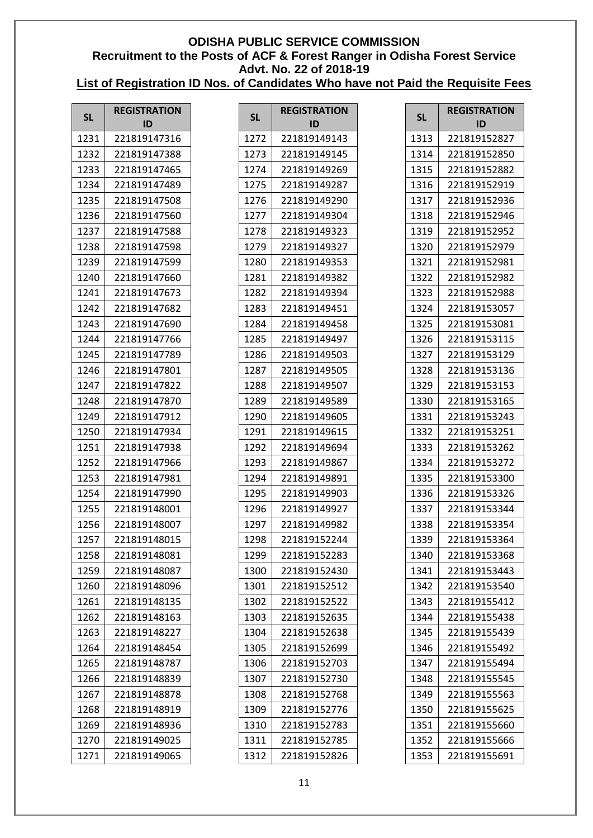| <b>SL</b> | <b>REGISTRATION</b> | <b>SL</b> | <b>REGISTRATION</b> | <b>SL</b> | <b>REGISTRATION</b> |
|-----------|---------------------|-----------|---------------------|-----------|---------------------|
|           | ID                  |           | ID                  |           | ID                  |
| 1231      | 221819147316        | 1272      | 221819149143        | 1313      | 221819152827        |
| 1232      | 221819147388        | 1273      | 221819149145        | 1314      | 221819152850        |
| 1233      | 221819147465        | 1274      | 221819149269        | 1315      | 221819152882        |
| 1234      | 221819147489        | 1275      | 221819149287        | 1316      | 221819152919        |
| 1235      | 221819147508        | 1276      | 221819149290        | 1317      | 221819152936        |
| 1236      | 221819147560        | 1277      | 221819149304        | 1318      | 221819152946        |
| 1237      | 221819147588        | 1278      | 221819149323        | 1319      | 221819152952        |
| 1238      | 221819147598        | 1279      | 221819149327        | 1320      | 221819152979        |
| 1239      | 221819147599        | 1280      | 221819149353        | 1321      | 221819152981        |
| 1240      | 221819147660        | 1281      | 221819149382        | 1322      | 221819152982        |
| 1241      | 221819147673        | 1282      | 221819149394        | 1323      | 221819152988        |
| 1242      | 221819147682        | 1283      | 221819149451        | 1324      | 221819153057        |
| 1243      | 221819147690        | 1284      | 221819149458        | 1325      | 221819153081        |
| 1244      | 221819147766        | 1285      | 221819149497        | 1326      | 221819153115        |
| 1245      | 221819147789        | 1286      | 221819149503        | 1327      | 221819153129        |
| 1246      | 221819147801        | 1287      | 221819149505        | 1328      | 221819153136        |
| 1247      | 221819147822        | 1288      | 221819149507        | 1329      | 221819153153        |
| 1248      | 221819147870        | 1289      | 221819149589        | 1330      | 221819153165        |
| 1249      | 221819147912        | 1290      | 221819149605        | 1331      | 221819153243        |
| 1250      | 221819147934        | 1291      | 221819149615        | 1332      | 221819153251        |
| 1251      | 221819147938        | 1292      | 221819149694        | 1333      | 221819153262        |
| 1252      | 221819147966        | 1293      | 221819149867        | 1334      | 221819153272        |
| 1253      | 221819147981        | 1294      | 221819149891        | 1335      | 221819153300        |
| 1254      | 221819147990        | 1295      | 221819149903        | 1336      | 221819153326        |
| 1255      | 221819148001        | 1296      | 221819149927        | 1337      | 221819153344        |
| 1256      | 221819148007        | 1297      | 221819149982        | 1338      | 221819153354        |
| 1257      | 221819148015        | 1298      | 221819152244        | 1339      | 221819153364        |
| 1258      | 221819148081        | 1299      | 221819152283        | 1340      | 221819153368        |
| 1259      | 221819148087        | 1300      | 221819152430        | 1341      | 221819153443        |
| 1260      | 221819148096        | 1301      | 221819152512        | 1342      | 221819153540        |
| 1261      | 221819148135        | 1302      | 221819152522        | 1343      | 221819155412        |
| 1262      | 221819148163        | 1303      | 221819152635        | 1344      | 221819155438        |
| 1263      | 221819148227        | 1304      | 221819152638        | 1345      | 221819155439        |
| 1264      | 221819148454        | 1305      | 221819152699        | 1346      | 221819155492        |
| 1265      | 221819148787        | 1306      | 221819152703        | 1347      | 221819155494        |
| 1266      | 221819148839        | 1307      | 221819152730        | 1348      | 221819155545        |
| 1267      | 221819148878        | 1308      | 221819152768        | 1349      | 221819155563        |
| 1268      | 221819148919        | 1309      | 221819152776        | 1350      | 221819155625        |
| 1269      | 221819148936        | 1310      | 221819152783        | 1351      | 221819155660        |
| 1270      | 221819149025        | 1311      | 221819152785        | 1352      | 221819155666        |
| 1271      | 221819149065        | 1312      | 221819152826        | 1353      | 221819155691        |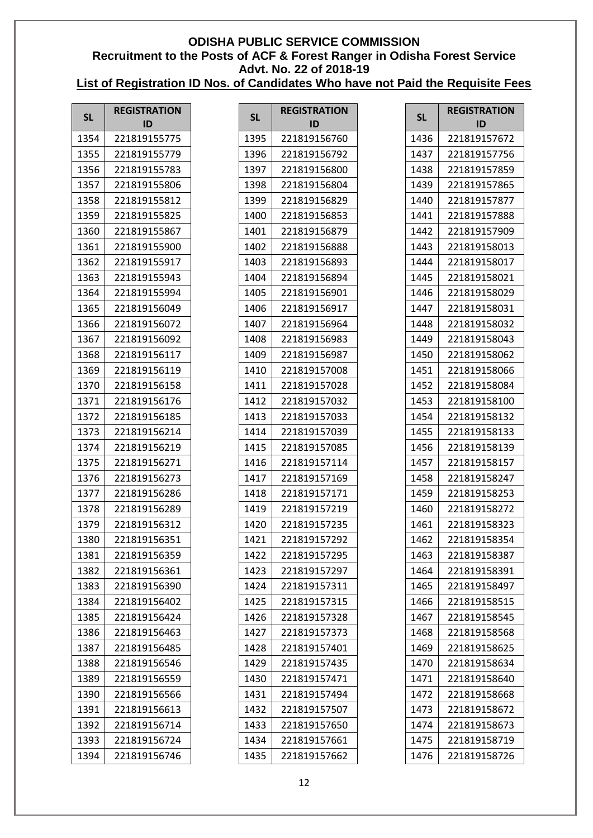| <b>SL</b> | <b>REGISTRATION</b><br>ID | <b>SL</b> | <b>REGISTRATION</b><br>ID | <b>SL</b> |  |
|-----------|---------------------------|-----------|---------------------------|-----------|--|
| 1354      | 221819155775              | 1395      | 221819156760              | 1436      |  |
| 1355      |                           |           |                           |           |  |
|           | 221819155779              | 1396      | 221819156792              | 1437      |  |
| 1356      | 221819155783              | 1397      | 221819156800              | 1438      |  |
| 1357      | 221819155806              | 1398      | 221819156804              | 1439      |  |
| 1358      | 221819155812              | 1399      | 221819156829              | 1440      |  |
| 1359      | 221819155825              | 1400      | 221819156853              | 1441      |  |
| 1360      | 221819155867              | 1401      | 221819156879              | 1442      |  |
| 1361      | 221819155900              | 1402      | 221819156888              | 1443      |  |
| 1362      | 221819155917              | 1403      | 221819156893              | 1444      |  |
| 1363      | 221819155943              | 1404      | 221819156894              | 1445      |  |
| 1364      | 221819155994              | 1405      | 221819156901              | 1446      |  |
| 1365      | 221819156049              | 1406      | 221819156917              | 1447      |  |
| 1366      | 221819156072              | 1407      | 221819156964              | 1448      |  |
| 1367      | 221819156092              | 1408      | 221819156983              | 1449      |  |
| 1368      | 221819156117              | 1409      | 221819156987              | 1450      |  |
| 1369      | 221819156119              | 1410      | 221819157008              | 1451      |  |
| 1370      | 221819156158              | 1411      | 221819157028              | 1452      |  |
| 1371      | 221819156176              | 1412      | 221819157032              | 1453      |  |
| 1372      | 221819156185              | 1413      | 221819157033              | 1454      |  |
| 1373      | 221819156214              | 1414      | 221819157039              | 1455      |  |
| 1374      | 221819156219              | 1415      | 221819157085              | 1456      |  |
| 1375      | 221819156271              | 1416      | 221819157114              | 1457      |  |
| 1376      | 221819156273              | 1417      | 221819157169              | 1458      |  |
| 1377      | 221819156286              | 1418      | 221819157171              | 1459      |  |
| 1378      | 221819156289              | 1419      | 221819157219              | 1460      |  |
| 1379      | 221819156312              | 1420      | 221819157235              | 1461      |  |
| 1380      | 221819156351              | 1421      | 221819157292              | 1462      |  |
| 1381      | 221819156359              | 1422      | 221819157295              | 1463      |  |
| 1382      | 221819156361              | 1423      | 221819157297              | 1464      |  |
| 1383      | 221819156390              | 1424      | 221819157311              | 1465      |  |
| 1384      | 221819156402              | 1425      | 221819157315              | 1466      |  |
| 1385      | 221819156424              | 1426      | 221819157328              | 1467      |  |
| 1386      | 221819156463              | 1427      | 221819157373              | 1468      |  |
| 1387      | 221819156485              | 1428      | 221819157401              | 1469      |  |
| 1388      | 221819156546              | 1429      | 221819157435              | 1470      |  |
| 1389      | 221819156559              | 1430      | 221819157471              | 1471      |  |
| 1390      | 221819156566              | 1431      | 221819157494              | 1472      |  |
| 1391      | 221819156613              | 1432      | 221819157507              | 1473      |  |
| 1392      | 221819156714              | 1433      | 221819157650              | 1474      |  |
| 1393      | 221819156724              | 1434      | 221819157661              | 1475      |  |
| 1394      | 221819156746              | 1435      | 221819157662              | 1476      |  |
|           |                           |           |                           |           |  |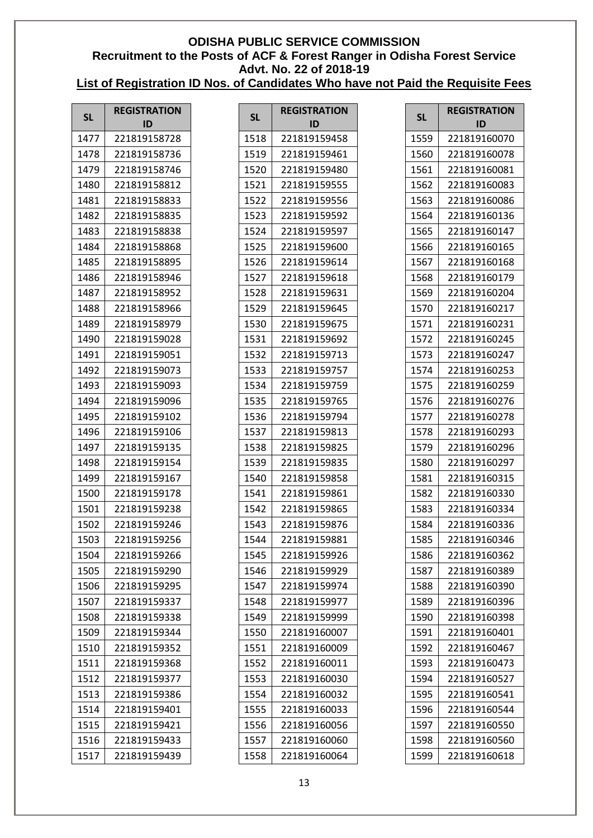| <b>SL</b> | <b>REGISTRATION</b><br>ID | <b>SL</b> | <b>REGISTRATION</b><br>ID | <b>SL</b> | <b>REGISTRATION</b><br>ID |
|-----------|---------------------------|-----------|---------------------------|-----------|---------------------------|
| 1477      | 221819158728              | 1518      | 221819159458              | 1559      | 221819160070              |
| 1478      | 221819158736              | 1519      | 221819159461              | 1560      | 221819160078              |
| 1479      | 221819158746              | 1520      | 221819159480              | 1561      | 221819160081              |
| 1480      | 221819158812              | 1521      | 221819159555              | 1562      | 221819160083              |
| 1481      | 221819158833              | 1522      | 221819159556              | 1563      | 221819160086              |
| 1482      | 221819158835              | 1523      | 221819159592              | 1564      | 221819160136              |
| 1483      | 221819158838              | 1524      | 221819159597              | 1565      | 221819160147              |
| 1484      | 221819158868              | 1525      | 221819159600              | 1566      | 221819160165              |
| 1485      | 221819158895              | 1526      | 221819159614              | 1567      | 221819160168              |
| 1486      | 221819158946              | 1527      | 221819159618              | 1568      | 221819160179              |
| 1487      | 221819158952              | 1528      | 221819159631              | 1569      | 221819160204              |
| 1488      | 221819158966              | 1529      | 221819159645              | 1570      | 221819160217              |
| 1489      | 221819158979              | 1530      | 221819159675              | 1571      | 221819160231              |
| 1490      | 221819159028              | 1531      | 221819159692              | 1572      | 221819160245              |
| 1491      | 221819159051              | 1532      | 221819159713              | 1573      | 221819160247              |
| 1492      | 221819159073              | 1533      | 221819159757              | 1574      | 221819160253              |
| 1493      | 221819159093              | 1534      | 221819159759              | 1575      | 221819160259              |
| 1494      | 221819159096              | 1535      | 221819159765              | 1576      | 221819160276              |
| 1495      | 221819159102              | 1536      | 221819159794              | 1577      | 221819160278              |
| 1496      | 221819159106              | 1537      | 221819159813              | 1578      | 221819160293              |
| 1497      | 221819159135              | 1538      | 221819159825              | 1579      | 221819160296              |
| 1498      | 221819159154              | 1539      | 221819159835              | 1580      | 221819160297              |
| 1499      | 221819159167              | 1540      | 221819159858              | 1581      | 221819160315              |
| 1500      | 221819159178              | 1541      | 221819159861              | 1582      | 221819160330              |
| 1501      | 221819159238              | 1542      | 221819159865              | 1583      | 221819160334              |
| 1502      | 221819159246              | 1543      | 221819159876              | 1584      | 221819160336              |
| 1503      | 221819159256              | 1544      | 221819159881              | 1585      | 221819160346              |
| 1504      | 221819159266              | 1545      | 221819159926              | 1586      | 221819160362              |
| 1505      | 221819159290              | 1546      | 221819159929              | 1587      | 221819160389              |
| 1506      | 221819159295              | 1547      | 221819159974              | 1588      | 221819160390              |
| 1507      | 221819159337              | 1548      | 221819159977              | 1589      | 221819160396              |
| 1508      | 221819159338              | 1549      | 221819159999              | 1590      | 221819160398              |
| 1509      | 221819159344              | 1550      | 221819160007              | 1591      | 221819160401              |
| 1510      | 221819159352              | 1551      | 221819160009              | 1592      | 221819160467              |
| 1511      | 221819159368              | 1552      | 221819160011              | 1593      | 221819160473              |
| 1512      | 221819159377              | 1553      | 221819160030              | 1594      | 221819160527              |
| 1513      | 221819159386              | 1554      | 221819160032              | 1595      | 221819160541              |
| 1514      | 221819159401              | 1555      | 221819160033              | 1596      | 221819160544              |
| 1515      | 221819159421              | 1556      | 221819160056              | 1597      | 221819160550              |
| 1516      | 221819159433              | 1557      | 221819160060              | 1598      | 221819160560              |
| 1517      | 221819159439              | 1558      | 221819160064              | 1599      | 221819160618              |